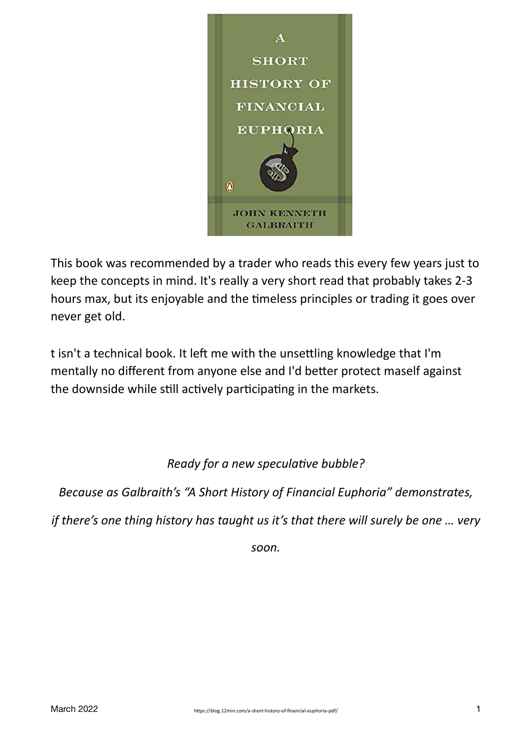

This book was recommended by a trader who reads this every few years just to keep the concepts in mind. It's really a very short read that probably takes 2-3 hours max, but its enjoyable and the timeless principles or trading it goes over never get old.

t isn't a technical book. It left me with the unsettling knowledge that I'm mentally no different from anyone else and I'd better protect maself against the downside while still actively participating in the markets.

*Ready for a new speculative bubble?*

*Because as Galbraith's "A Short History of Financial Euphoria" demonstrates,* 

*if there's one thing history has taught us it's that there will surely be one ... very* 

*soon.*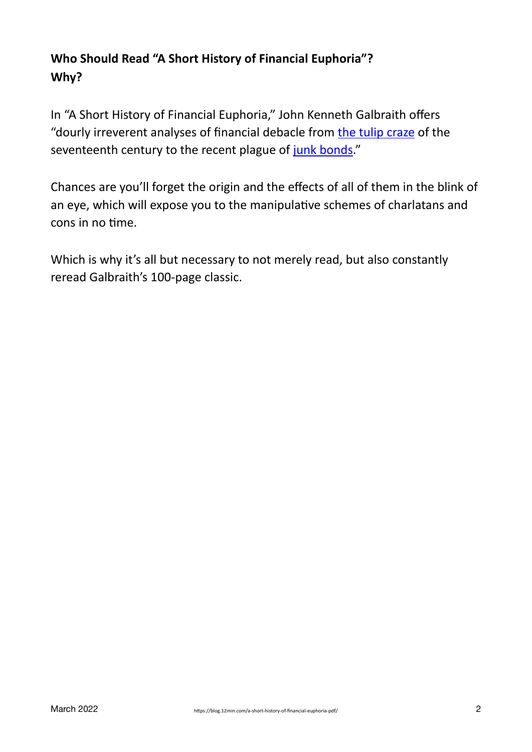# **Who Should Read "A Short History of Financial Euphoria"? Why?**

In "A Short History of Financial Euphoria," John Kenneth Galbraith offers "dourly irreverent analyses of financial debacle from the tulip craze of the seventeenth century to the recent plague of junk bonds."

Chances are you'll forget the origin and the effects of all of them in the blink of an eye, which will expose you to the manipulative schemes of charlatans and cons in no time.

Which is why it's all but necessary to not merely read, but also constantly reread Galbraith's 100-page classic.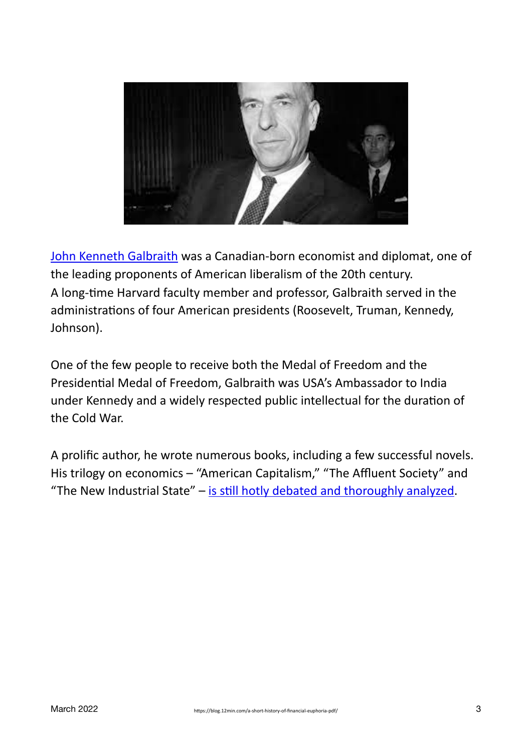

John Kenneth Galbraith was a Canadian-born economist and diplomat, one of the leading proponents of American liberalism of the 20th century. A long-time Harvard faculty member and professor, Galbraith served in the administrations of four American presidents (Roosevelt, Truman, Kennedy, Johnson).

One of the few people to receive both the Medal of Freedom and the Presidential Medal of Freedom, Galbraith was USA's Ambassador to India under Kennedy and a widely respected public intellectual for the duration of the Cold War.

A prolific author, he wrote numerous books, including a few successful novels. His trilogy on economics – "American Capitalism," "The Affluent Society" and "The New Industrial State"  $-$  is still hotly debated and thoroughly analyzed.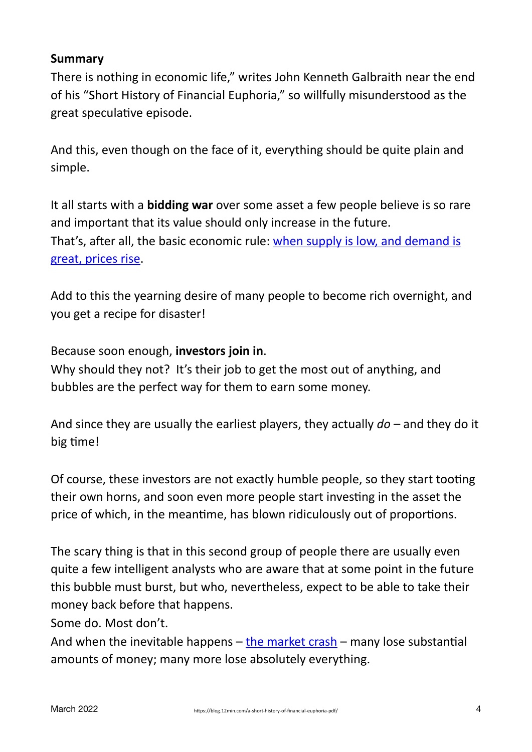### **Summary**

There is nothing in economic life," writes John Kenneth Galbraith near the end of his "Short History of Financial Euphoria," so willfully misunderstood as the great speculative episode.

And this, even though on the face of it, everything should be quite plain and simple.

It all starts with a **bidding war** over some asset a few people believe is so rare and important that its value should only increase in the future. That's, after all, the basic economic rule: when supply is low, and demand is great, prices rise.

Add to this the yearning desire of many people to become rich overnight, and you get a recipe for disaster!

Because soon enough, **investors** join in.

Why should they not? It's their job to get the most out of anything, and bubbles are the perfect way for them to earn some money.

And since they are usually the earliest players, they actually  $d\sigma$  – and they do it big time!

Of course, these investors are not exactly humble people, so they start tooting their own horns, and soon even more people start investing in the asset the price of which, in the meantime, has blown ridiculously out of proportions.

The scary thing is that in this second group of people there are usually even quite a few intelligent analysts who are aware that at some point in the future this bubble must burst, but who, nevertheless, expect to be able to take their money back before that happens.

Some do. Most don't.

And when the inevitable happens  $-$  the market crash – many lose substantial amounts of money; many more lose absolutely everything.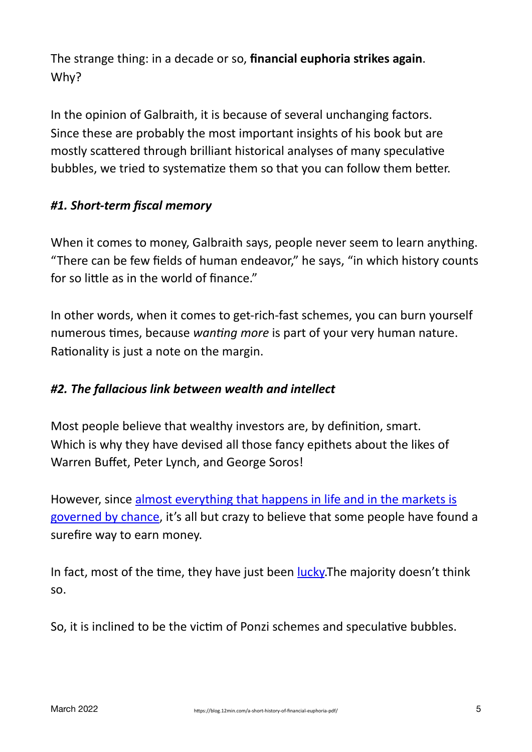The strange thing: in a decade or so, **financial euphoria strikes again**. Why?

In the opinion of Galbraith, it is because of several unchanging factors. Since these are probably the most important insights of his book but are mostly scattered through brilliant historical analyses of many speculative bubbles, we tried to systematize them so that you can follow them better.

## *#1. Short-term fiscal memory*

When it comes to money, Galbraith says, people never seem to learn anything. "There can be few fields of human endeavor," he says, "in which history counts for so little as in the world of finance."

In other words, when it comes to get-rich-fast schemes, you can burn yourself numerous times, because *wanting more* is part of your very human nature. Rationality is just a note on the margin.

## #2. The fallacious link between wealth and intellect

Most people believe that wealthy investors are, by definition, smart. Which is why they have devised all those fancy epithets about the likes of Warren Buffet, Peter Lynch, and George Soros!

However, since almost everything that happens in life and in the markets is governed by chance, it's all but crazy to believe that some people have found a surefire way to earn money.

In fact, most of the time, they have just been [lucky.](https://blog.12min.com/lucky-or-smart-pdf/) The majority doesn't think so.

So, it is inclined to be the victim of Ponzi schemes and speculative bubbles.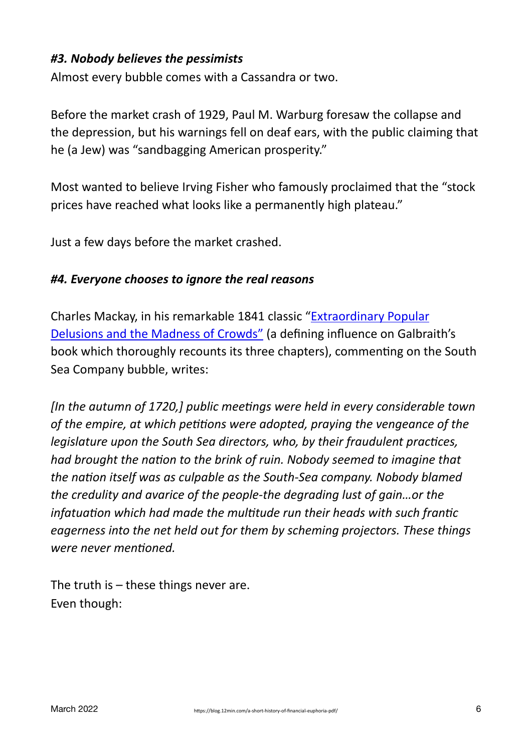## *#3. Nobody believes the pessimists*

Almost every bubble comes with a Cassandra or two.

Before the market crash of 1929, Paul M. Warburg foresaw the collapse and the depression, but his warnings fell on deaf ears, with the public claiming that he (a Jew) was "sandbagging American prosperity."

Most wanted to believe Irving Fisher who famously proclaimed that the "stock prices have reached what looks like a permanently high plateau."

Just a few days before the market crashed.

#### *#4. Everyone chooses to ignore the real reasons*

Charles Mackay, in his remarkable 1841 classic "Extraordinary Popular Delusions and the Madness of Crowds" (a defining influence on Galbraith's book which thoroughly recounts its three chapters), commenting on the South Sea Company bubble, writes:

*In the autumn of 1720, <i>I* public meetings were held in every considerable town of the empire, at which petitions were adopted, praying the vengeance of the *legislature upon the South Sea directors, who, by their fraudulent practices, had brought the nation to the brink of ruin. Nobody seemed to imagine that* the nation itself was as culpable as the South-Sea company. Nobody blamed *the credulity and avarice of the people-the degrading lust of gain...or the infatuation* which had made the multitude run their heads with such frantic *eagerness into the net held out for them by scheming projectors. These things were never mentioned.*

The truth is  $-$  these things never are. Even though: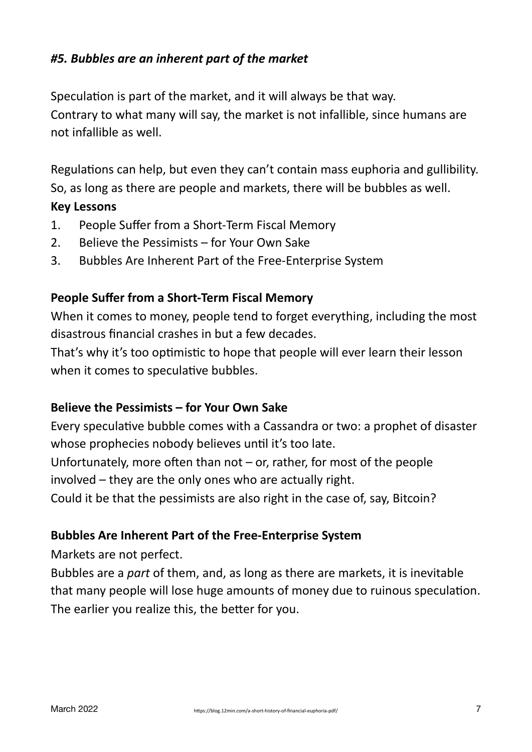## *#5. Bubbles are an inherent part of the market*

Speculation is part of the market, and it will always be that way. Contrary to what many will say, the market is not infallible, since humans are not infallible as well.

Regulations can help, but even they can't contain mass euphoria and gullibility. So, as long as there are people and markets, there will be bubbles as well.

#### **Key Lessons**

- 1. People Suffer from a Short-Term Fiscal Memory
- 2. Believe the Pessimists for Your Own Sake
- 3. Bubbles Are Inherent Part of the Free-Enterprise System

#### **People Suffer from a Short-Term Fiscal Memory**

When it comes to money, people tend to forget everything, including the most disastrous financial crashes in but a few decades.

That's why it's too optimistic to hope that people will ever learn their lesson when it comes to speculative bubbles.

#### **Believe the Pessimists – for Your Own Sake**

Every speculative bubble comes with a Cassandra or two: a prophet of disaster whose prophecies nobody believes until it's too late.

Unfortunately, more often than not  $-$  or, rather, for most of the people involved  $-$  they are the only ones who are actually right.

Could it be that the pessimists are also right in the case of, say, Bitcoin?

#### **Bubbles Are Inherent Part of the Free-Enterprise System**

Markets are not perfect.

Bubbles are a *part* of them, and, as long as there are markets, it is inevitable that many people will lose huge amounts of money due to ruinous speculation. The earlier you realize this, the better for you.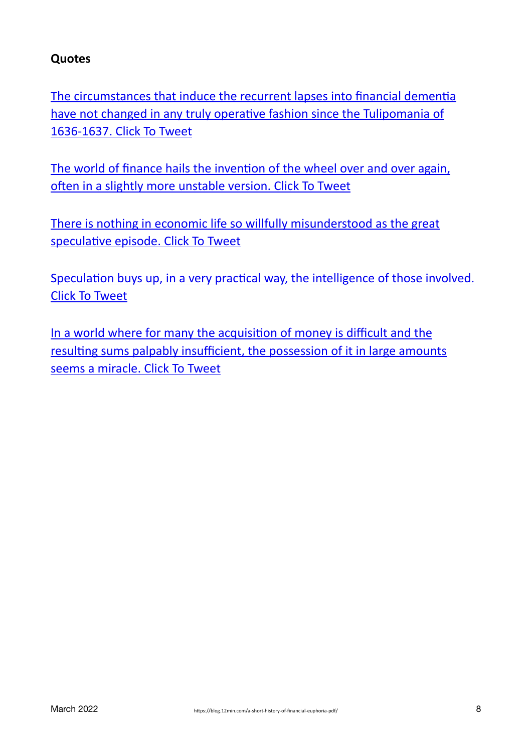## **Quotes**

The circumstances that induce the recurrent lapses into financial dementia have not changed in any truly operative fashion since the Tulipomania of 1636-1637. Click To Tweet

The world of finance hails the invention of the wheel over and over again, often in a slightly more unstable version. Click To Tweet

There is nothing in economic life so willfully misunderstood as the great speculative episode. Click To Tweet

Speculation buys up, in a very practical way, the intelligence of those involved. [Click To Tweet](https://twitter.com/intent/tweet?url=https%3A%2F%2Fblog.12min.com%2Fa-short-history-of-financial-euphoria-pdf%2F&text=Speculation%20buys%20up%2C%20in%20a%20very%20practical%20way%2C%20the%20intelligence%20of%20those%20involved.&via=get12min&related=get12min)

In a world where for many the acquisition of money is difficult and the resulting sums palpably insufficient, the possession of it in large amounts seems a miracle. Click To Tweet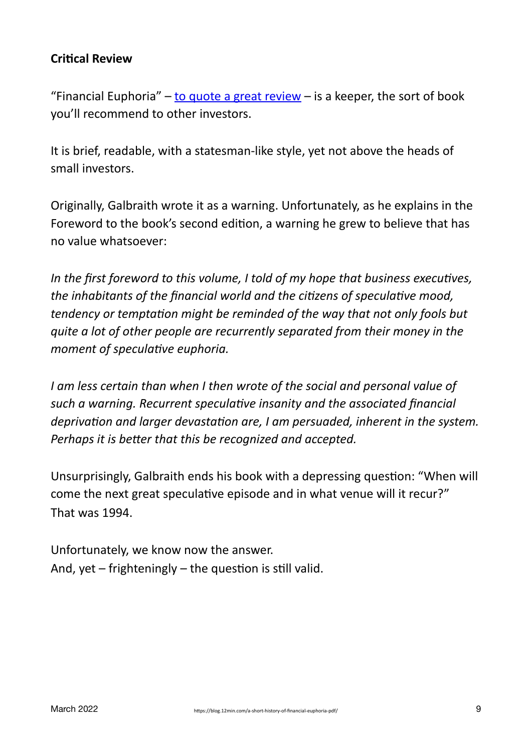## **Critical Review**

"Financial Euphoria"  $-$  to quote a great review  $-$  is a keeper, the sort of book you'll recommend to other investors.

It is brief, readable, with a statesman-like style, yet not above the heads of small investors.

Originally, Galbraith wrote it as a warning. Unfortunately, as he explains in the Foreword to the book's second edition, a warning he grew to believe that has no value whatsoever:

In the first foreword to this volume, I told of my hope that business executives, *the inhabitants of the financial world and the citizens of speculative mood, tendency* or temptation might be reminded of the way that not only fools but *quite a lot of other people are recurrently separated from their money in the moment of speculative euphoria.* 

*I* am less certain than when *I* then wrote of the social and personal value of such a warning. Recurrent speculative insanity and the associated financial *deprivation and larger devastation are, I am persuaded, inherent in the system. Perhaps it is better that this be recognized and accepted.* 

Unsurprisingly, Galbraith ends his book with a depressing question: "When will come the next great speculative episode and in what venue will it recur?" That was 1994.

Unfortunately, we know now the answer. And, yet  $-$  frighteningly  $-$  the question is still valid.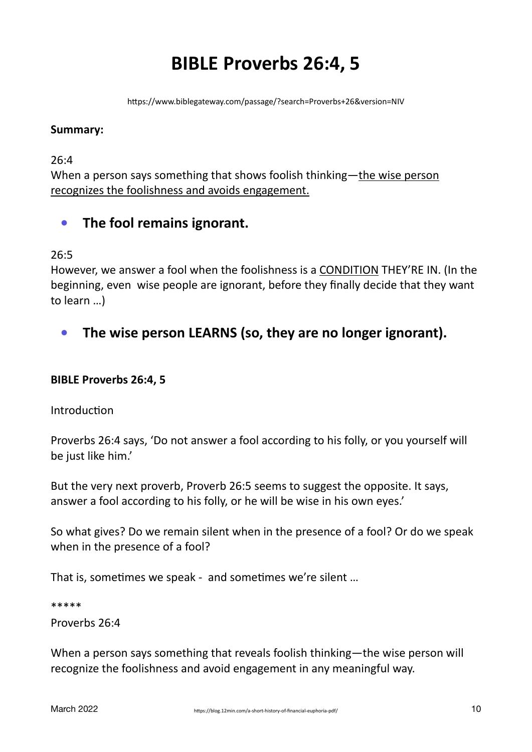# **BIBLE Proverbs 26:4, 5**

https://www.biblegateway.com/passage/?search=Proverbs+26&version=NIV

#### **Summary:**

26:4

When a person says something that shows foolish thinking—the wise person recognizes the foolishness and avoids engagement.

## **•** The fool remains ignorant.

 $26:5$ 

However, we answer a fool when the foolishness is a CONDITION THEY'RE IN. (In the beginning, even wise people are ignorant, before they finally decide that they want to learn ...)

The wise person LEARNS (so, they are no longer ignorant).

#### **BIBLE Proverbs 26:4, 5**

Introduction

Proverbs 26:4 says, 'Do not answer a fool according to his folly, or you yourself will be just like him.'

But the very next proverb, Proverb 26:5 seems to suggest the opposite. It says, answer a fool according to his folly, or he will be wise in his own eyes.'

So what gives? Do we remain silent when in the presence of a fool? Or do we speak when in the presence of a fool?

That is, sometimes we speak - and sometimes we're silent ...

\*\*\*\*\*

Proverbs 26:4

When a person says something that reveals foolish thinking—the wise person will recognize the foolishness and avoid engagement in any meaningful way.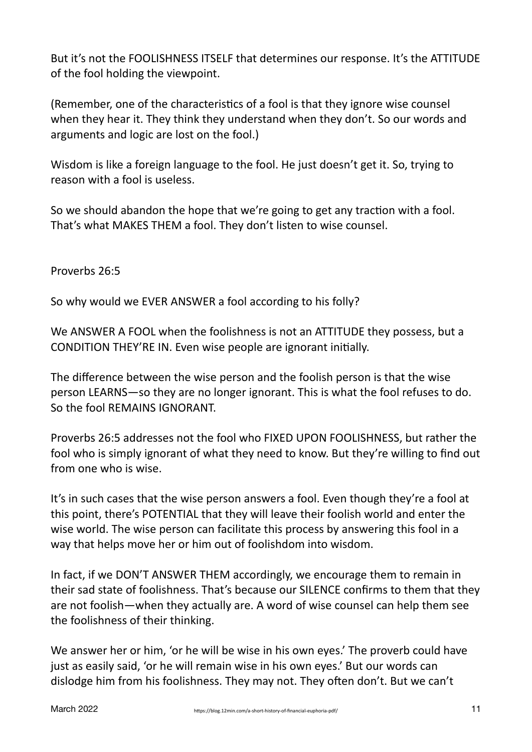But it's not the FOOLISHNESS ITSELF that determines our response. It's the ATTITUDE of the fool holding the viewpoint.

(Remember, one of the characteristics of a fool is that they ignore wise counsel when they hear it. They think they understand when they don't. So our words and arguments and logic are lost on the fool.)

Wisdom is like a foreign language to the fool. He just doesn't get it. So, trying to reason with a fool is useless.

So we should abandon the hope that we're going to get any traction with a fool. That's what MAKES THEM a fool. They don't listen to wise counsel.

Proverbs 26:5

So why would we EVER ANSWER a fool according to his folly?

We ANSWER A FOOL when the foolishness is not an ATTITUDE they possess, but a CONDITION THEY'RE IN. Even wise people are ignorant initially.

The difference between the wise person and the foolish person is that the wise person LEARNS—so they are no longer ignorant. This is what the fool refuses to do. So the fool REMAINS IGNORANT.

Proverbs 26:5 addresses not the fool who FIXED UPON FOOLISHNESS, but rather the fool who is simply ignorant of what they need to know. But they're willing to find out from one who is wise.

It's in such cases that the wise person answers a fool. Even though they're a fool at this point, there's POTENTIAL that they will leave their foolish world and enter the wise world. The wise person can facilitate this process by answering this fool in a way that helps move her or him out of foolishdom into wisdom.

In fact, if we DON'T ANSWER THEM accordingly, we encourage them to remain in their sad state of foolishness. That's because our SILENCE confirms to them that they are not foolish—when they actually are. A word of wise counsel can help them see the foolishness of their thinking.

We answer her or him, 'or he will be wise in his own eyes.' The proverb could have just as easily said, 'or he will remain wise in his own eyes.' But our words can dislodge him from his foolishness. They may not. They often don't. But we can't